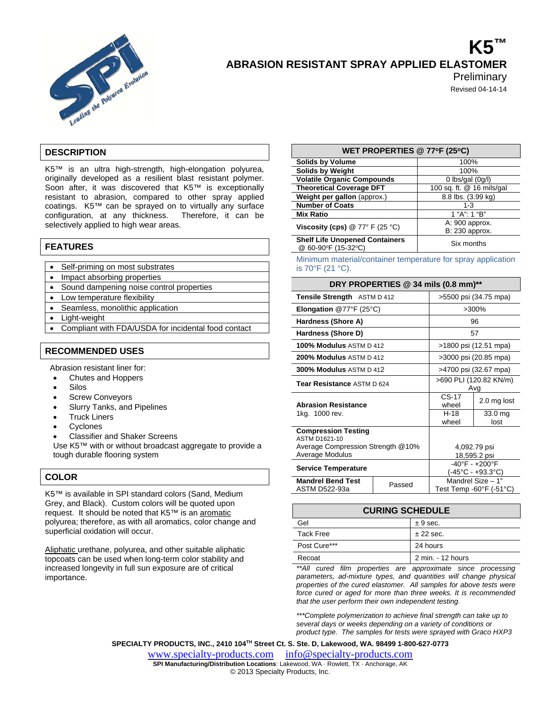

# **K5™ ABRASION RESISTANT SPRAY APPLIED ELASTOMER**

**Preliminary** Revised 04-14-14

**DESCRIPTION** 

K5™ is an ultra high-strength, high-elongation polyurea, originally developed as a resilient blast resistant polymer. Soon after, it was discovered that K5™ is exceptionally resistant to abrasion, compared to other spray applied coatings. K5™ can be sprayed on to virtually any surface configuration, at any thickness. Therefore, it can be selectively applied to high wear areas.

#### **FEATURES**

- Self-priming on most substrates
- Impact absorbing properties
- Sound dampening noise control properties
- Low temperature flexibility
- Seamless, monolithic application
- Light-weight
- Compliant with FDA/USDA for incidental food contact

#### **RECOMMENDED USES**

Abrasion resistant liner for:

- Chutes and Hoppers
- Silos
- Screw Conveyors
- Slurry Tanks, and Pipelines
- Truck Liners
- Cyclones
- Classifier and Shaker Screens

Use K5™ with or without broadcast aggregate to provide a tough durable flooring system

#### **COLOR**

K5™ is available in SPI standard colors (Sand, Medium Grey, and Black). Custom colors will be quoted upon request. It should be noted that K5™ is an aromatic polyurea; therefore, as with all aromatics, color change and superficial oxidation will occur.

Aliphatic urethane, polyurea, and other suitable aliphatic topcoats can be used when long-term color stability and increased longevity in full sun exposure are of critical importance.

#### **WET PROPERTIES @ 77oF (25oC) Solids by Volume** 100% **Solids by Weight 100%**<br> **100% Volatile Organic Compounds** 10 lbs/gal (0g/l) **Volatile Organic Compounds** 0 lbs/gal (0g/l)<br> **Theoretical Coverage DFT** 100 sq. ft. @ 16 mils/gal **Theoretical Coverage DFT** 100 sq. ft. @ 16 mils/<br> **Weight per gallon** (approx.) 8.8 lbs. (3.99 kg) **Weight per gallon (approx.) Number of Coats** 1-3 **Mix Ratio 1 "A": 1 "B" Viscosity (cps)** @ 77° F (25 °C) A: 900 approx. B: 230 approx.

**Shelf Life Unopened Containers**  @ 60-90°F (15-32° Six months

Minimum material/container temperature for spray application is 70°F (21 °C).

#### **DRY PROPERTIES @ 34 mils (0.8 mm)\*\***

| Tensile Strength ASTM D 412                                                      |        | >5500 psi (34.75 mpa)                                                                   |                 |
|----------------------------------------------------------------------------------|--------|-----------------------------------------------------------------------------------------|-----------------|
| <b>Elongation @77°F (25°C)</b>                                                   |        | >300%                                                                                   |                 |
| Hardness (Shore A)                                                               |        | 96                                                                                      |                 |
| Hardness (Shore D)                                                               |        | 57                                                                                      |                 |
| 100% Modulus ASTM D 412                                                          |        | >1800 psi (12.51 mpa)                                                                   |                 |
| 200% Modulus ASTM D 412                                                          |        | >3000 psi (20.85 mpa)                                                                   |                 |
| <b>300% Modulus ASTM D 412</b>                                                   |        | >4700 psi (32.67 mpa)                                                                   |                 |
| Tear Resistance ASTM D 624                                                       |        | >690 PLI (120.82 KN/m)<br>Avg                                                           |                 |
| <b>Abrasion Resistance</b>                                                       |        | $CS-17$<br>wheel                                                                        | 2.0 mg lost     |
| 1kg. 1000 rev.                                                                   |        | $H-18$<br>wheel                                                                         | 33.0 mg<br>lost |
| <b>Compression Testing</b><br>ASTM D1621-10<br>Average Compression Strength @10% |        |                                                                                         | 4,092.79 psi    |
| Average Modulus                                                                  |        | 18,595.2 psi                                                                            |                 |
| <b>Service Temperature</b>                                                       |        | $-40^{\circ}F - +200^{\circ}F$<br>(-45°C - +93.3°C)                                     |                 |
| <b>Mandrel Bend Test</b><br>ASTM D522-93a                                        | Passed | $\overline{\mathsf{M}}$ andrel Size - 1"<br>Test Temp -60 $\degree$ F (-51 $\degree$ C) |                 |

| <b>CURING SCHEDULE</b> |                   |  |
|------------------------|-------------------|--|
| Gel                    | ± 9 sec.          |  |
| Tack Free              | $± 22$ sec.       |  |
| Post Cure***           | 24 hours          |  |
| Recoat                 | 2 min. - 12 hours |  |

*\*\*All cured film properties are approximate since processing parameters, ad-mixture types, and quantities will change physical properties of the cured elastomer. All samples for above tests were force cured or aged for more than three weeks. It is recommended that the user perform their own independent testing.* 

*\*\*\*Complete polymerization to achieve final strength can take up to several days or weeks depending on a variety of conditions or product type. The samples for tests were sprayed with Graco HXP3* 

**SPECIALTY PRODUCTS, INC., 2410 104TH Street Ct. S. Ste. D, Lakewood, WA. 98499 1-800-627-0773** 

www.specialty-products.cominfo@specialty-products.com **SPI Manufacturing/Distribution Locations**: Lakewood, WA · Rowlett, TX · Anchorage, AK © 2013 Specialty Products, Inc.